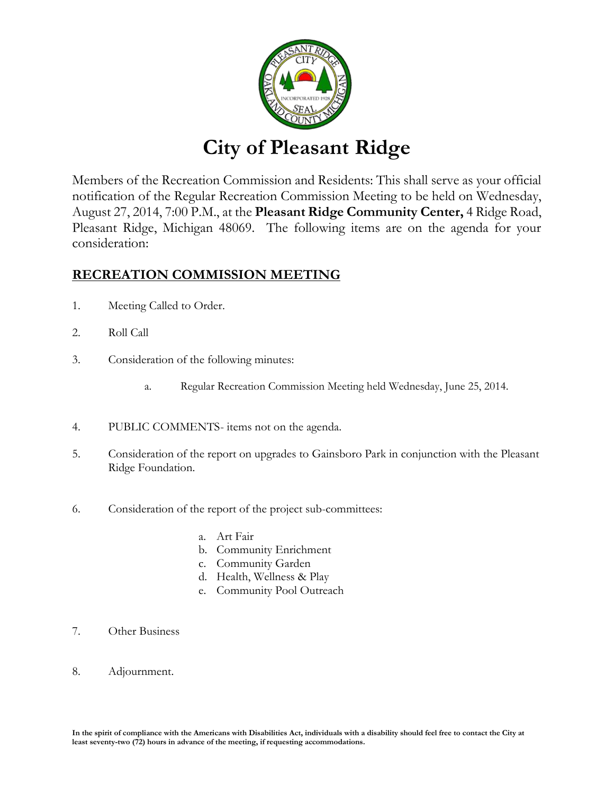

# **City of Pleasant Ridge**

Members of the Recreation Commission and Residents: This shall serve as your official notification of the Regular Recreation Commission Meeting to be held on Wednesday, August 27, 2014, 7:00 P.M., at the **Pleasant Ridge Community Center,** 4 Ridge Road, Pleasant Ridge, Michigan 48069. The following items are on the agenda for your consideration:

### **RECREATION COMMISSION MEETING**

- 1. Meeting Called to Order.
- 2. Roll Call
- 3. Consideration of the following minutes:
	- a. Regular Recreation Commission Meeting held Wednesday, June 25, 2014.
- 4. PUBLIC COMMENTS- items not on the agenda.
- 5. Consideration of the report on upgrades to Gainsboro Park in conjunction with the Pleasant Ridge Foundation.
- 6. Consideration of the report of the project sub-committees:
	- a. Art Fair
	- b. Community Enrichment
	- c. Community Garden
	- d. Health, Wellness & Play
	- e. Community Pool Outreach
- 7. Other Business
- 8. Adjournment.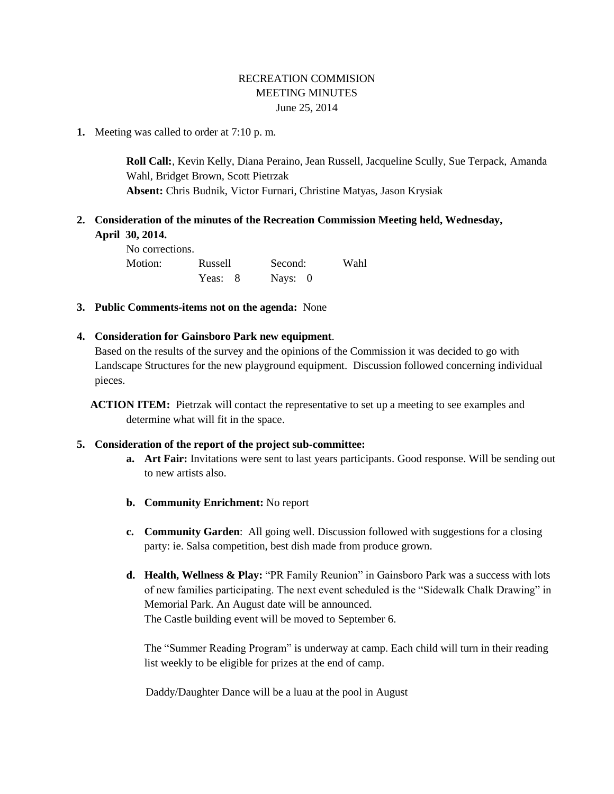#### RECREATION COMMISION MEETING MINUTES June 25, 2014

**1.** Meeting was called to order at 7:10 p. m.

**Roll Call:**, Kevin Kelly, Diana Peraino, Jean Russell, Jacqueline Scully, Sue Terpack, Amanda Wahl, Bridget Brown, Scott Pietrzak **Absent:** Chris Budnik, Victor Furnari, Christine Matyas, Jason Krysiak

#### **2. Consideration of the minutes of the Recreation Commission Meeting held, Wednesday, April 30, 2014.**

| No corrections. |         |         |      |
|-----------------|---------|---------|------|
| Motion:         | Russell | Second: | Wahl |
|                 | Yeas: 8 | Nays: 0 |      |

**3. Public Comments-items not on the agenda:** None

#### **4. Consideration for Gainsboro Park new equipment**.

Based on the results of the survey and the opinions of the Commission it was decided to go with Landscape Structures for the new playground equipment. Discussion followed concerning individual pieces.

**ACTION ITEM:** Pietrzak will contact the representative to set up a meeting to see examples and determine what will fit in the space.

#### **5. Consideration of the report of the project sub-committee:**

- **a. Art Fair:** Invitations were sent to last years participants. Good response. Will be sending out to new artists also.
- **b. Community Enrichment:** No report
- **c. Community Garden**: All going well. Discussion followed with suggestions for a closing party: ie. Salsa competition, best dish made from produce grown.
- **d. Health, Wellness & Play:** "PR Family Reunion" in Gainsboro Park was a success with lots of new families participating. The next event scheduled is the "Sidewalk Chalk Drawing" in Memorial Park. An August date will be announced. The Castle building event will be moved to September 6.

The "Summer Reading Program" is underway at camp. Each child will turn in their reading list weekly to be eligible for prizes at the end of camp.

Daddy/Daughter Dance will be a luau at the pool in August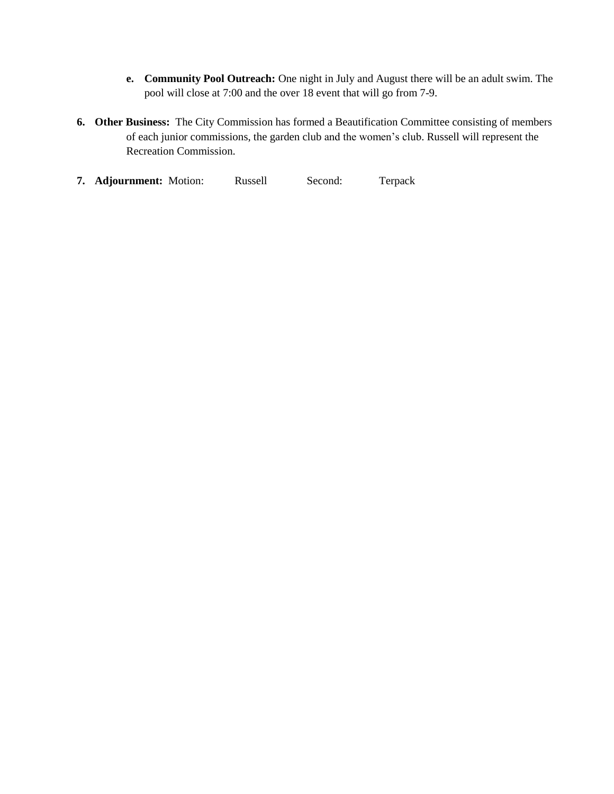- **e. Community Pool Outreach:** One night in July and August there will be an adult swim. The pool will close at 7:00 and the over 18 event that will go from 7-9.
- **6. Other Business:** The City Commission has formed a Beautification Committee consisting of members of each junior commissions, the garden club and the women's club. Russell will represent the Recreation Commission.
- **7. Adjournment:** Motion: Russell Second: Terpack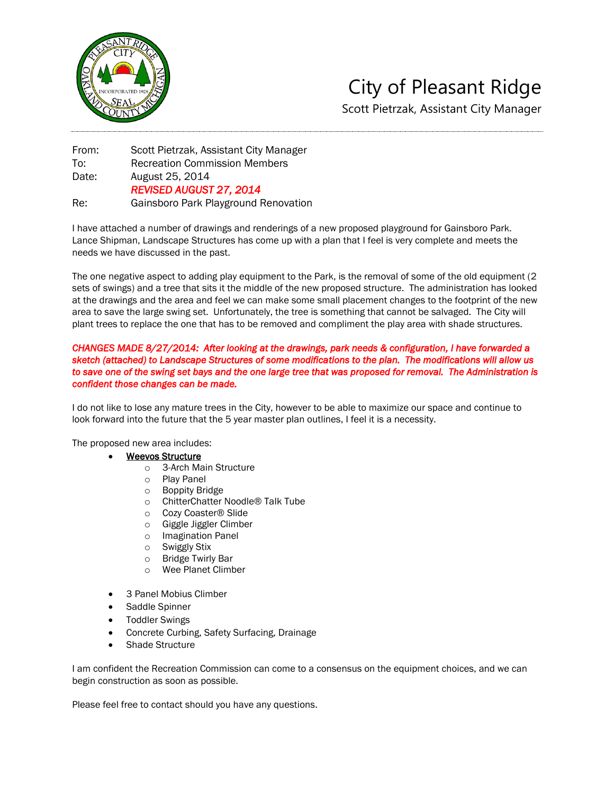

## City of Pleasant Ridge Scott Pietrzak, Assistant City Manager

From: Scott Pietrzak, Assistant City Manager To: Recreation Commission Members Date: August 25, 2014 *REVISED AUGUST 27, 2014*  Re: Gainsboro Park Playground Renovation

I have attached a number of drawings and renderings of a new proposed playground for Gainsboro Park. Lance Shipman, Landscape Structures has come up with a plan that I feel is very complete and meets the needs we have discussed in the past.

The one negative aspect to adding play equipment to the Park, is the removal of some of the old equipment (2 sets of swings) and a tree that sits it the middle of the new proposed structure. The administration has looked at the drawings and the area and feel we can make some small placement changes to the footprint of the new area to save the large swing set. Unfortunately, the tree is something that cannot be salvaged. The City will plant trees to replace the one that has to be removed and compliment the play area with shade structures.

#### *CHANGES MADE 8/27/2014: After looking at the drawings, park needs & configuration, I have forwarded a sketch (attached) to Landscape Structures of some modifications to the plan. The modifications will allow us*  to save one of the swing set bays and the one large tree that was proposed for removal. The Administration is *confident those changes can be made.*

I do not like to lose any mature trees in the City, however to be able to maximize our space and continue to look forward into the future that the 5 year master plan outlines, I feel it is a necessity.

The proposed new area includes:

#### Weevos Structure

- o 3-Arch Main Structure
- o Play Panel
- 
- o Boppity Bridge<br>
o ChitterChatter ChitterChatter Noodle<sup>®</sup> Talk Tube
- o Cozy Coaster® Slide
- o Giggle Jiggler Climber
- o Imagination Panel
- o Swiggly Stix
- o Bridge Twirly Bar
- o Wee Planet Climber
- 3 Panel Mobius Climber
- Saddle Spinner
- Toddler Swings
- Concrete Curbing, Safety Surfacing, Drainage
- Shade Structure

I am confident the Recreation Commission can come to a consensus on the equipment choices, and we can begin construction as soon as possible.

Please feel free to contact should you have any questions.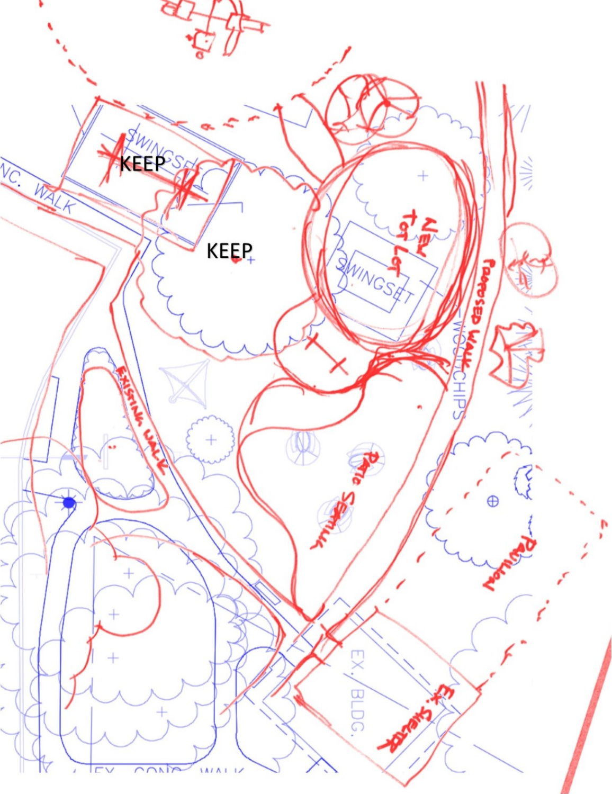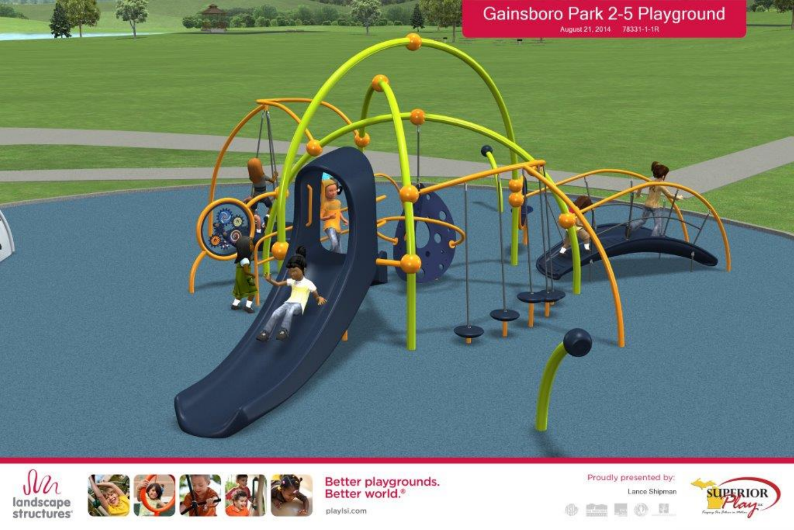





Better playgrounds.<br>Better world.<sup>®</sup>

Proudly presented by: Lance Shipman ●  $\frac{1}{2}$ . 08



playlsi.com